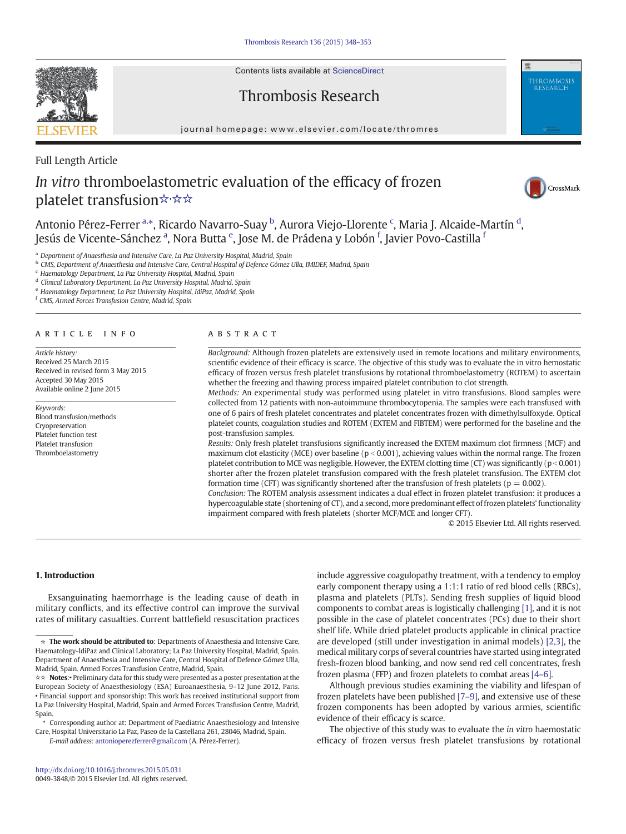Contents lists available at ScienceDirect

# Thrombosis Research

journal homepage: www.elsevier.com/locate/thromres

# Full Length Article In vitro thromboelastometric evaluation of the efficacy of frozen platelet transfusion☆☆☆



THROMBOSIS<br>Research

Antonio Pérez-Ferrer <sup>a,</sup>\*, Ricardo Navarro-Suay <sup>b</sup>, Aurora Viejo-Llorente <sup>c</sup>, Maria J. Alcaide-Martín <sup>d</sup>, Jesús de Vicente-Sánchez <sup>a</sup>, Nora Butta <sup>e</sup>, Jose M. de Prádena y Lobón <sup>f</sup>, Javier Povo-Castilla <sup>í</sup>

<sup>a</sup> Department of Anaesthesia and Intensive Care, La Paz University Hospital, Madrid, Spain

<sup>b</sup> CMS, Department of Anaesthesia and Intensive Care, Central Hospital of Defence Gómez Ulla, IMIDEF, Madrid, Spain

<sup>c</sup> Haematology Department, La Paz University Hospital, Madrid, Spain

<sup>d</sup> Clinical Laboratory Department, La Paz University Hospital, Madrid, Spain

<sup>e</sup> Haematology Department, La Paz University Hospital, IdiPaz, Madrid, Spain

<sup>f</sup> CMS, Armed Forces Transfusion Centre, Madrid, Spain

#### article info abstract

Article history: Received 25 March 2015 Received in revised form 3 May 2015 Accepted 30 May 2015 Available online 2 June 2015

Keywords: Blood transfusion/methods Cryopreservation Platelet function test Platelet transfusion Thromboelastometry

Background: Although frozen platelets are extensively used in remote locations and military environments, scientific evidence of their efficacy is scarce. The objective of this study was to evaluate the in vitro hemostatic efficacy of frozen versus fresh platelet transfusions by rotational thromboelastometry (ROTEM) to ascertain whether the freezing and thawing process impaired platelet contribution to clot strength.

Methods: An experimental study was performed using platelet in vitro transfusions. Blood samples were collected from 12 patients with non-autoimmune thrombocytopenia. The samples were each transfused with one of 6 pairs of fresh platelet concentrates and platelet concentrates frozen with dimethylsulfoxyde. Optical platelet counts, coagulation studies and ROTEM (EXTEM and FIBTEM) were performed for the baseline and the post-transfusion samples.

Results: Only fresh platelet transfusions significantly increased the EXTEM maximum clot firmness (MCF) and maximum clot elasticity (MCE) over baseline ( $p < 0.001$ ), achieving values within the normal range. The frozen platelet contribution to MCE was negligible. However, the EXTEM clotting time  $(CT)$  was significantly  $(p < 0.001)$ shorter after the frozen platelet transfusion compared with the fresh platelet transfusion. The EXTEM clot formation time (CFT) was significantly shortened after the transfusion of fresh platelets ( $p = 0.002$ ).

Conclusion: The ROTEM analysis assessment indicates a dual effect in frozen platelet transfusion: it produces a hypercoagulable state (shortening of CT), and a second, more predominant effect of frozen platelets' functionality impairment compared with fresh platelets (shorter MCF/MCE and longer CFT).

© 2015 Elsevier Ltd. All rights reserved.

#### 1. Introduction

Exsanguinating haemorrhage is the leading cause of death in military conflicts, and its effective control can improve the survival rates of military casualties. Current battlefield resuscitation practices

E-mail address: [antonioperezferrer@gmail.com](mailto:antonioperezferrer@gmail.com) (A. Pérez-Ferrer).

include aggressive coagulopathy treatment, with a tendency to employ early component therapy using a 1:1:1 ratio of red blood cells (RBCs), plasma and platelets (PLTs). Sending fresh supplies of liquid blood components to combat areas is logistically challenging [\[1\],](#page-5-0) and it is not possible in the case of platelet concentrates (PCs) due to their short shelf life. While dried platelet products applicable in clinical practice are developed (still under investigation in animal models) [\[2,3\],](#page-5-0) the medical military corps of several countries have started using integrated fresh-frozen blood banking, and now send red cell concentrates, fresh frozen plasma (FFP) and frozen platelets to combat areas [4–[6\].](#page-5-0)

Although previous studies examining the viability and lifespan of frozen platelets have been published [\[7](#page-5-0)–9], and extensive use of these frozen components has been adopted by various armies, scientific evidence of their efficacy is scarce.

The objective of this study was to evaluate the in vitro haemostatic efficacy of frozen versus fresh platelet transfusions by rotational



<sup>☆</sup> The work should be attributed to: Departments of Anaesthesia and Intensive Care, Haematology-IdiPaz and Clinical Laboratory; La Paz University Hospital, Madrid, Spain. Department of Anaesthesia and Intensive Care, Central Hospital of Defence Gómez Ulla, Madrid, Spain. Armed Forces Transfusion Centre, Madrid, Spain.

<sup>☆☆</sup> Notes:• Preliminary data for this study were presented as a poster presentation at the European Society of Anaesthesiology (ESA) Euroanaesthesia, 9–12 June 2012, Paris. • Financial support and sponsorship: This work has received institutional support from La Paz University Hospital, Madrid, Spain and Armed Forces Transfusion Centre, Madrid, Spain.

<sup>⁎</sup> Corresponding author at: Department of Paediatric Anaesthesiology and Intensive Care, Hospital Universitario La Paz, Paseo de la Castellana 261, 28046, Madrid, Spain.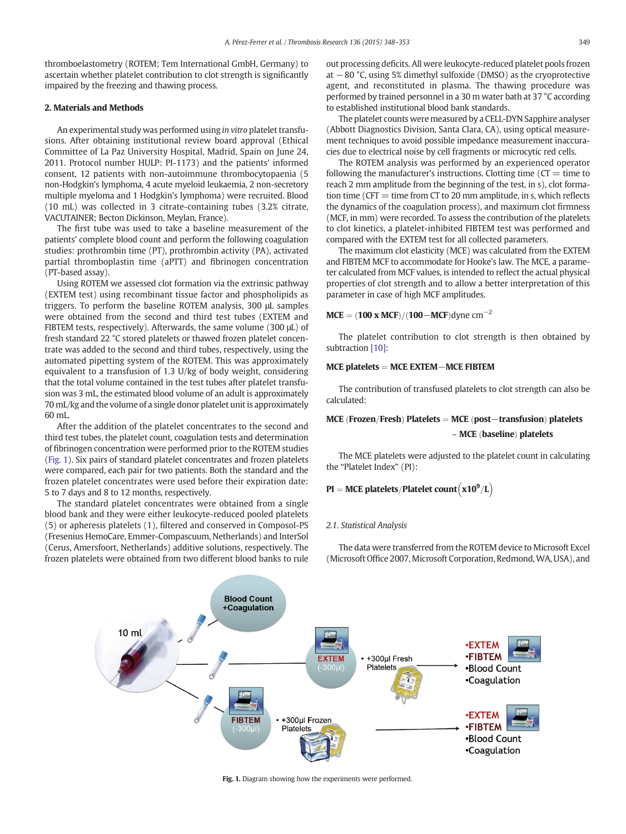thromboelastometry (ROTEM; Tem International GmbH, Germany) to ascertain whether platelet contribution to clot strength is significantly impaired by the freezing and thawing process.

#### 2. Materials and Methods

An experimental study was performed using in vitro platelet transfusions. After obtaining institutional review board approval (Ethical Committee of La Paz University Hospital, Madrid, Spain on June 24, 2011. Protocol number HULP: PI-1173) and the patients' informed consent, 12 patients with non-autoimmune thrombocytopaenia (5 non-Hodgkin's lymphoma, 4 acute myeloid leukaemia, 2 non-secretory multiple myeloma and 1 Hodgkin's lymphoma) were recruited. Blood (10 mL) was collected in 3 citrate-containing tubes (3.2% citrate, VACUTAINER; Becton Dickinson, Meylan, France).

The first tube was used to take a baseline measurement of the patients' complete blood count and perform the following coagulation studies: prothrombin time (PT), prothrombin activity (PA), activated partial thromboplastin time (aPTT) and fibrinogen concentration (PT-based assay).

Using ROTEM we assessed clot formation via the extrinsic pathway (EXTEM test) using recombinant tissue factor and phospholipids as triggers. To perform the baseline ROTEM analysis, 300 μL samples were obtained from the second and third test tubes (EXTEM and FIBTEM tests, respectively). Afterwards, the same volume (300 μL) of fresh standard 22 °C stored platelets or thawed frozen platelet concentrate was added to the second and third tubes, respectively, using the automated pipetting system of the ROTEM. This was approximately equivalent to a transfusion of 1.3 U/kg of body weight, considering that the total volume contained in the test tubes after platelet transfusion was 3 mL, the estimated blood volume of an adult is approximately 70 mL/kg and the volume of a single donor platelet unit is approximately 60 mL.

After the addition of the platelet concentrates to the second and third test tubes, the platelet count, coagulation tests and determination of fibrinogen concentration were performed prior to the ROTEM studies (Fig. 1). Six pairs of standard platelet concentrates and frozen platelets were compared, each pair for two patients. Both the standard and the frozen platelet concentrates were used before their expiration date: 5 to 7 days and 8 to 12 months, respectively.

The standard platelet concentrates were obtained from a single blood bank and they were either leukocyte-reduced pooled platelets (5) or apheresis platelets (1), filtered and conserved in Composol-PS (Fresenius HemoCare, Emmer-Compascuum, Netherlands) and InterSol (Cerus, Amersfoort, Netherlands) additive solutions, respectively. The frozen platelets were obtained from two different blood banks to rule out processing deficits. All were leukocyte-reduced platelet pools frozen at −80 °C, using 5% dimethyl sulfoxide (DMSO) as the cryoprotective agent, and reconstituted in plasma. The thawing procedure was performed by trained personnel in a 30 m water bath at 37 °C according to established institutional blood bank standards.

The platelet counts were measured by a CELL-DYN Sapphire analyser (Abbott Diagnostics Division, Santa Clara, CA), using optical measurement techniques to avoid possible impedance measurement inaccuracies due to electrical noise by cell fragments or microcytic red cells.

The ROTEM analysis was performed by an experienced operator following the manufacturer's instructions. Clotting time ( $CT =$  time to reach 2 mm amplitude from the beginning of the test, in s), clot formation time ( $CFT =$  time from  $CT$  to 20 mm amplitude, in s, which reflects the dynamics of the coagulation process), and maximum clot firmness (MCF, in mm) were recorded. To assess the contribution of the platelets to clot kinetics, a platelet-inhibited FIBTEM test was performed and compared with the EXTEM test for all collected parameters.

The maximum clot elasticity (MCE) was calculated from the EXTEM and FIBTEM MCF to accommodate for Hooke's law. The MCE, a parameter calculated from MCF values, is intended to reflect the actual physical properties of clot strength and to allow a better interpretation of this parameter in case of high MCF amplitudes.

#### $MCE = (100 \text{ x } MCF) / (100 - MCF)$ dyne cm<sup>-2</sup>

The platelet contribution to clot strength is then obtained by subtraction [\[10\]](#page-5-0):

### MCE platelets = MCE EXTEM−MCE FIBTEM

The contribution of transfused platelets to clot strength can also be calculated:

## $MCE$  (Frozen/Fresh) Platelets = MCE (post – transfusion) platelets – MCE (baseline) platelets

The MCE platelets were adjusted to the platelet count in calculating the "Platelet Index" (PI):

## $\textbf{PI} = \text{MCE}$  platelets/Platelet count $\left(\textbf{x10}^{\textbf{9}}/\text{L}\right)$

#### 2.1. Statistical Analysis

The data were transferred from the ROTEM device to Microsoft Excel (Microsoft Office 2007, Microsoft Corporation, Redmond, WA, USA), and



Fig. 1. Diagram showing how the experiments were performed.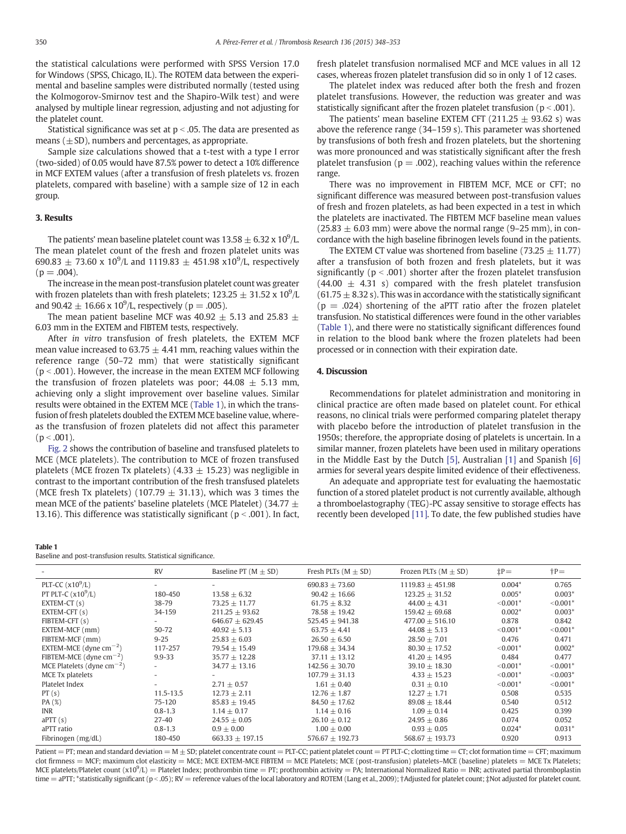<span id="page-2-0"></span>the statistical calculations were performed with SPSS Version 17.0 for Windows (SPSS, Chicago, IL). The ROTEM data between the experimental and baseline samples were distributed normally (tested using the Kolmogorov-Smirnov test and the Shapiro-Wilk test) and were analysed by multiple linear regression, adjusting and not adjusting for the platelet count.

Statistical significance was set at  $p < .05$ . The data are presented as means  $(\pm SD)$ , numbers and percentages, as appropriate.

Sample size calculations showed that a t-test with a type I error (two-sided) of 0.05 would have 87.5% power to detect a 10% difference in MCF EXTEM values (after a transfusion of fresh platelets vs. frozen platelets, compared with baseline) with a sample size of 12 in each group.

#### 3. Results

The patients' mean baseline platelet count was 13.58  $\pm$  6.32 x 10 $^9$ /L. The mean platelet count of the fresh and frozen platelet units was 690.83  $\pm$  73.60 x 10<sup>9</sup>/L and 1119.83  $\pm$  451.98 x10<sup>9</sup>/L, respectively  $(p = .004)$ .

The increase in the mean post-transfusion platelet count was greater with frozen platelets than with fresh platelets;  $123.25 \pm 31.52 \times 10^9/\text{L}$ and 90.42  $\pm$  16.66 x 10<sup>9</sup>/L, respectively (p = .005).

The mean patient baseline MCF was 40.92  $\pm$  5.13 and 25.83  $\pm$ 6.03 mm in the EXTEM and FIBTEM tests, respectively.

After in vitro transfusion of fresh platelets, the EXTEM MCF mean value increased to  $63.75 \pm 4.41$  mm, reaching values within the reference range (50–72 mm) that were statistically significant  $(p < .001)$ . However, the increase in the mean EXTEM MCF following the transfusion of frozen platelets was poor;  $44.08 \pm 5.13$  mm, achieving only a slight improvement over baseline values. Similar results were obtained in the EXTEM MCE (Table 1), in which the transfusion of fresh platelets doubled the EXTEM MCE baseline value, whereas the transfusion of frozen platelets did not affect this parameter  $(p < .001)$ .

[Fig. 2](#page-3-0) shows the contribution of baseline and transfused platelets to MCE (MCE platelets). The contribution to MCE of frozen transfused platelets (MCE frozen Tx platelets) (4.33  $\pm$  15.23) was negligible in contrast to the important contribution of the fresh transfused platelets (MCE fresh Tx platelets) (107.79  $\pm$  31.13), which was 3 times the mean MCE of the patients' baseline platelets (MCE Platelet) (34.77  $\pm$ 13.16). This difference was statistically significant ( $p < .001$ ). In fact,

#### Table 1

Baseline and post-transfusion results. Statistical significance.

fresh platelet transfusion normalised MCF and MCE values in all 12 cases, whereas frozen platelet transfusion did so in only 1 of 12 cases.

The platelet index was reduced after both the fresh and frozen platelet transfusions. However, the reduction was greater and was statistically significant after the frozen platelet transfusion ( $p < .001$ ).

The patients' mean baseline EXTEM CFT (211.25  $\pm$  93.62 s) was above the reference range (34–159 s). This parameter was shortened by transfusions of both fresh and frozen platelets, but the shortening was more pronounced and was statistically significant after the fresh platelet transfusion ( $p = .002$ ), reaching values within the reference range.

There was no improvement in FIBTEM MCF, MCE or CFT; no significant difference was measured between post-transfusion values of fresh and frozen platelets, as had been expected in a test in which the platelets are inactivated. The FIBTEM MCF baseline mean values  $(25.83 \pm 6.03 \text{ mm})$  were above the normal range  $(9-25 \text{ mm})$ , in concordance with the high baseline fibrinogen levels found in the patients.

The EXTEM CT value was shortened from baseline (73.25  $\pm$  11.77) after a transfusion of both frozen and fresh platelets, but it was significantly ( $p < .001$ ) shorter after the frozen platelet transfusion  $(44.00 \pm 4.31 \text{ s})$  compared with the fresh platelet transfusion  $(61.75 \pm 8.32 \text{ s})$ . This was in accordance with the statistically significant  $(p = .024)$  shortening of the aPTT ratio after the frozen platelet transfusion. No statistical differences were found in the other variables (Table 1), and there were no statistically significant differences found in relation to the blood bank where the frozen platelets had been processed or in connection with their expiration date.

#### 4. Discussion

Recommendations for platelet administration and monitoring in clinical practice are often made based on platelet count. For ethical reasons, no clinical trials were performed comparing platelet therapy with placebo before the introduction of platelet transfusion in the 1950s; therefore, the appropriate dosing of platelets is uncertain. In a similar manner, frozen platelets have been used in military operations in the Middle East by the Dutch [\[5\],](#page-5-0) Australian [\[1\]](#page-5-0) and Spanish [\[6\]](#page-5-0) armies for several years despite limited evidence of their effectiveness.

An adequate and appropriate test for evaluating the haemostatic function of a stored platelet product is not currently available, although a thromboelastography (TEG)-PC assay sensitive to storage effects has recently been developed [\[11\].](#page-5-0) To date, the few published studies have

|                                 | <b>RV</b>                | Baseline PT ( $M \pm SD$ ) | Fresh PLTs ( $M \pm SD$ ) | Frozen PLTs ( $M \pm SD$ ) | $\pm P =$  | $\dagger P =$ |
|---------------------------------|--------------------------|----------------------------|---------------------------|----------------------------|------------|---------------|
| PLT-CC $(x10^9/L)$              |                          |                            | $690.83 + 73.60$          | $1119.83 + 451.98$         | $0.004*$   | 0.765         |
| PT PLT-C $(x10^9/L)$            | 180-450                  | $13.58 + 6.32$             | $90.42 + 16.66$           | $123.25 \pm 31.52$         | $0.005*$   | $0.003*$      |
| $EXTEM-CT(s)$                   | 38-79                    | $73.25 \pm 11.77$          | $61.75 + 8.32$            | $44.00 \pm 4.31$           | $< 0.001*$ | $< 0.001*$    |
| EXTEM-CFT (s)                   | 34-159                   | $211.25 + 93.62$           | $78.58 + 19.42$           | $159.42 \pm 69.68$         | $0.002*$   | $0.003*$      |
| FIBTEM-CFT (s)                  | $\overline{\phantom{0}}$ | $646.67 + 629.45$          | $525.45 + 941.38$         | $477.00 + 516.10$          | 0.878      | 0.842         |
| EXTEM-MCF (mm)                  | $50 - 72$                | $40.92 + 5.13$             | $63.75 + 4.41$            | $44.08 \pm 5.13$           | $< 0.001*$ | $< 0.001$ *   |
| FIBTEM-MCF (mm)                 | $9 - 25$                 | $25.83 + 6.03$             | $26.50 + 6.50$            | $28.50 \pm 7.01$           | 0.476      | 0.471         |
| EXTEM-MCE (dyne $cm^{-2}$ )     | 117-257                  | $79.54 + 15.49$            | $179.68 + 34.34$          | $80.30 + 17.52$            | $< 0.001*$ | $0.002*$      |
| FIBTEM-MCE (dyne $cm^{-2}$ )    | $9.9 - 33$               | $35.77 \pm 12.28$          | $37.11 \pm 13.12$         | $41.20 \pm 14.95$          | 0.484      | 0.477         |
| MCE Platelets (dyne $cm^{-2}$ ) | $\sim$                   | $34.77 \pm 13.16$          | $142.56 \pm 30.70$        | $39.10 \pm 18.30$          | $< 0.001*$ | $< 0.001*$    |
| MCE Tx platelets                | $\overline{\phantom{a}}$ |                            | $107.79 \pm 31.13$        | $4.33 \pm 15.23$           | $< 0.001*$ | $< 0.003*$    |
| Platelet Index                  |                          | $2.71 + 0.57$              | $1.61 + 0.40$             | $0.31 \pm 0.10$            | $< 0.001*$ | $< 0.001*$    |
| PT(s)                           | 11.5-13.5                | $12.73 + 2.11$             | $12.76 + 1.87$            | $12.27 + 1.71$             | 0.508      | 0.535         |
| PA (%)                          | 75-120                   | $85.83 + 19.45$            | $84.50 + 17.62$           | $89.08 + 18.44$            | 0.540      | 0.512         |
| INR                             | $0.8 - 1.3$              | $1.14 + 0.17$              | $1.14 + 0.16$             | $1.09 + 0.14$              | 0.425      | 0.399         |
| aPTT(s)                         | 27-40                    | $24.55 \pm 0.05$           | $26.10 \pm 0.12$          | $24.95 \pm 0.86$           | 0.074      | 0.052         |
| aPTT ratio                      | $0.8 - 1.3$              | $0.9 \pm 0.00$             | $1.00 \pm 0.00$           | $0.93 \pm 0.05$            | $0.024*$   | $0.031*$      |
| Fibrinogen (mg/dL)              | 180-450                  | $663.33 \pm 197.15$        | $576.67 + 192.73$         | 568.67 $\pm$ 193.73        | 0.920      | 0.913         |

 $P$ atient = PT; mean and standard deviation = M  $\pm$  SD; platelet concentrate count = PLT-CC; patient platelet count = PT PLT-C; clotting time = CT; clot formation time = CFT; maximum clot firmness = MCF; maximum clot elasticity = MCE; MCE EXTEM-MCE FIBTEM = MCE Platelets; MCE (post-transfusion) platelets-MCE (baseline) platelets = MCE Tx Platelets; MCE platelets/Platelet count (x10<sup>9</sup>/L) = Platelet Index; prothrombin time = PT; prothrombin activity = PA; International Normalized Ratio = INR; activated partial thromboplastin time = aPTT; \*statistically significant (p <.05); RV = reference values of the local laboratory and ROTEM (Lang et al., 2009); †Adjusted for platelet count; ‡Not adjusted for platelet count.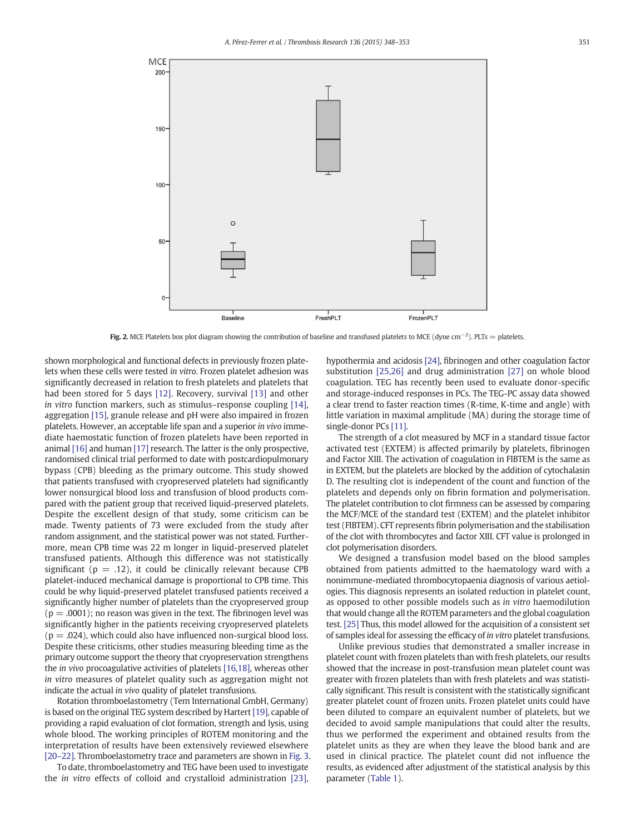<span id="page-3-0"></span>

**Fig. 2.** MCE Platelets box plot diagram showing the contribution of baseline and transfused platelets to MCE (dyne cm<sup>-2</sup>). PLTs = platelets.

shown morphological and functional defects in previously frozen platelets when these cells were tested in vitro. Frozen platelet adhesion was significantly decreased in relation to fresh platelets and platelets that had been stored for 5 days [\[12\].](#page-5-0) Recovery, survival [\[13\]](#page-5-0) and other in vitro function markers, such as stimulus–response coupling [\[14\],](#page-5-0) aggregation [\[15\]](#page-5-0), granule release and pH were also impaired in frozen platelets. However, an acceptable life span and a superior in vivo immediate haemostatic function of frozen platelets have been reported in animal [\[16\]](#page-5-0) and human [\[17\]](#page-5-0) research. The latter is the only prospective, randomised clinical trial performed to date with postcardiopulmonary bypass (CPB) bleeding as the primary outcome. This study showed that patients transfused with cryopreserved platelets had significantly lower nonsurgical blood loss and transfusion of blood products compared with the patient group that received liquid-preserved platelets. Despite the excellent design of that study, some criticism can be made. Twenty patients of 73 were excluded from the study after random assignment, and the statistical power was not stated. Furthermore, mean CPB time was 22 m longer in liquid-preserved platelet transfused patients. Although this difference was not statistically significant ( $p = .12$ ), it could be clinically relevant because CPB platelet-induced mechanical damage is proportional to CPB time. This could be why liquid-preserved platelet transfused patients received a significantly higher number of platelets than the cryopreserved group  $(p = .0001)$ ; no reason was given in the text. The fibrinogen level was significantly higher in the patients receiving cryopreserved platelets  $(p = .024)$ , which could also have influenced non-surgical blood loss. Despite these criticisms, other studies measuring bleeding time as the primary outcome support the theory that cryopreservation strengthens the in vivo procoagulative activities of platelets [\[16,18\],](#page-5-0) whereas other in vitro measures of platelet quality such as aggregation might not indicate the actual in vivo quality of platelet transfusions.

Rotation thromboelastometry (Tem International GmbH, Germany) is based on the original TEG system described by Hartert [\[19\],](#page-5-0) capable of providing a rapid evaluation of clot formation, strength and lysis, using whole blood. The working principles of ROTEM monitoring and the interpretation of results have been extensively reviewed elsewhere [20–[22\]](#page-5-0). Thromboelastometry trace and parameters are shown in [Fig. 3.](#page-4-0)

To date, thromboelastometry and TEG have been used to investigate the in vitro effects of colloid and crystalloid administration [\[23\],](#page-5-0) hypothermia and acidosis [\[24\]](#page-5-0), fibrinogen and other coagulation factor substitution [\[25,26\]](#page-5-0) and drug administration [\[27\]](#page-5-0) on whole blood coagulation. TEG has recently been used to evaluate donor-specific and storage-induced responses in PCs. The TEG-PC assay data showed a clear trend to faster reaction times (R-time, K-time and angle) with little variation in maximal amplitude (MA) during the storage time of single-donor PCs [\[11\].](#page-5-0)

The strength of a clot measured by MCF in a standard tissue factor activated test (EXTEM) is affected primarily by platelets, fibrinogen and Factor XIII. The activation of coagulation in FIBTEM is the same as in EXTEM, but the platelets are blocked by the addition of cytochalasin D. The resulting clot is independent of the count and function of the platelets and depends only on fibrin formation and polymerisation. The platelet contribution to clot firmness can be assessed by comparing the MCF/MCE of the standard test (EXTEM) and the platelet inhibitor test (FIBTEM). CFT represents fibrin polymerisation and the stabilisation of the clot with thrombocytes and factor XIII. CFT value is prolonged in clot polymerisation disorders.

We designed a transfusion model based on the blood samples obtained from patients admitted to the haematology ward with a nonimmune-mediated thrombocytopaenia diagnosis of various aetiologies. This diagnosis represents an isolated reduction in platelet count, as opposed to other possible models such as in vitro haemodilution that would change all the ROTEM parameters and the global coagulation test. [\[25\]](#page-5-0) Thus, this model allowed for the acquisition of a consistent set of samples ideal for assessing the efficacy of in vitro platelet transfusions.

Unlike previous studies that demonstrated a smaller increase in platelet count with frozen platelets than with fresh platelets, our results showed that the increase in post-transfusion mean platelet count was greater with frozen platelets than with fresh platelets and was statistically significant. This result is consistent with the statistically significant greater platelet count of frozen units. Frozen platelet units could have been diluted to compare an equivalent number of platelets, but we decided to avoid sample manipulations that could alter the results, thus we performed the experiment and obtained results from the platelet units as they are when they leave the blood bank and are used in clinical practice. The platelet count did not influence the results, as evidenced after adjustment of the statistical analysis by this parameter [\(Table 1\)](#page-2-0).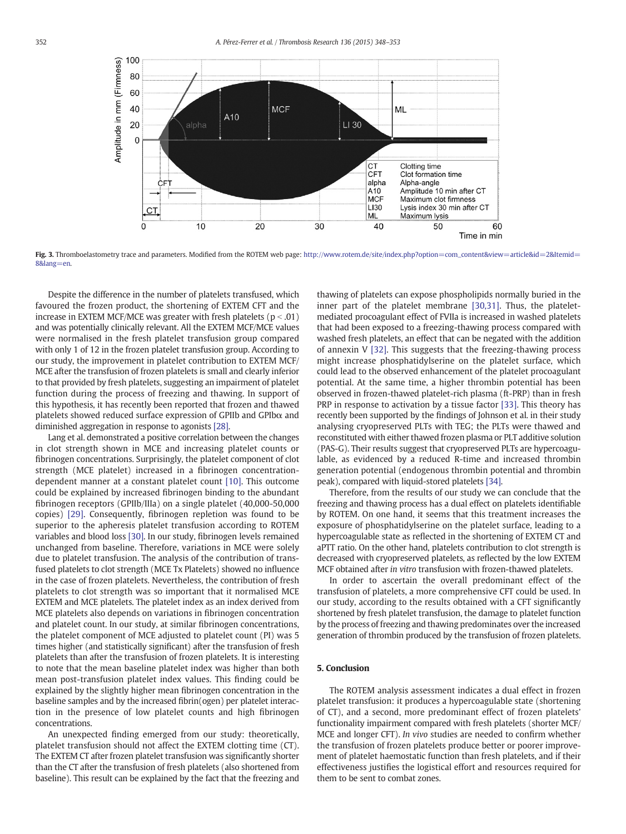<span id="page-4-0"></span>

Fig. 3. Thromboelastometry trace and parameters. Modified from the ROTEM web page: [http://www.rotem.de/site/index.php?option=com\\_content&view=article&id=2&Itemid=](http://www.rotem.de/site/index.php?option=com_content&view=article&id=2&Itemid=8&lang=en) [8&lang=en.](http://www.rotem.de/site/index.php?option=com_content&view=article&id=2&Itemid=8&lang=en)

Despite the difference in the number of platelets transfused, which favoured the frozen product, the shortening of EXTEM CFT and the increase in EXTEM MCF/MCE was greater with fresh platelets ( $p < .01$ ) and was potentially clinically relevant. All the EXTEM MCF/MCE values were normalised in the fresh platelet transfusion group compared with only 1 of 12 in the frozen platelet transfusion group. According to our study, the improvement in platelet contribution to EXTEM MCF/ MCE after the transfusion of frozen platelets is small and clearly inferior to that provided by fresh platelets, suggesting an impairment of platelet function during the process of freezing and thawing. In support of this hypothesis, it has recently been reported that frozen and thawed platelets showed reduced surface expression of GPIIb and GPIb $\alpha$  and diminished aggregation in response to agonists [\[28\]](#page-5-0).

Lang et al. demonstrated a positive correlation between the changes in clot strength shown in MCE and increasing platelet counts or fibrinogen concentrations. Surprisingly, the platelet component of clot strength (MCE platelet) increased in a fibrinogen concentrationdependent manner at a constant platelet count [\[10\].](#page-5-0) This outcome could be explained by increased fibrinogen binding to the abundant fibrinogen receptors (GPIIb/IIIa) on a single platelet (40,000-50,000 copies) [\[29\]](#page-5-0). Consequently, fibrinogen repletion was found to be superior to the apheresis platelet transfusion according to ROTEM variables and blood loss [\[30\].](#page-5-0) In our study, fibrinogen levels remained unchanged from baseline. Therefore, variations in MCE were solely due to platelet transfusion. The analysis of the contribution of transfused platelets to clot strength (MCE Tx Platelets) showed no influence in the case of frozen platelets. Nevertheless, the contribution of fresh platelets to clot strength was so important that it normalised MCE EXTEM and MCE platelets. The platelet index as an index derived from MCE platelets also depends on variations in fibrinogen concentration and platelet count. In our study, at similar fibrinogen concentrations, the platelet component of MCE adjusted to platelet count (PI) was 5 times higher (and statistically significant) after the transfusion of fresh platelets than after the transfusion of frozen platelets. It is interesting to note that the mean baseline platelet index was higher than both mean post-transfusion platelet index values. This finding could be explained by the slightly higher mean fibrinogen concentration in the baseline samples and by the increased fibrin(ogen) per platelet interaction in the presence of low platelet counts and high fibrinogen concentrations.

An unexpected finding emerged from our study: theoretically, platelet transfusion should not affect the EXTEM clotting time (CT). The EXTEM CT after frozen platelet transfusion was significantly shorter than the CT after the transfusion of fresh platelets (also shortened from baseline). This result can be explained by the fact that the freezing and thawing of platelets can expose phospholipids normally buried in the inner part of the platelet membrane [\[30,31\]](#page-5-0). Thus, the plateletmediated procoagulant effect of FVIIa is increased in washed platelets that had been exposed to a freezing-thawing process compared with washed fresh platelets, an effect that can be negated with the addition of annexin V [\[32\].](#page-5-0) This suggests that the freezing-thawing process might increase phosphatidylserine on the platelet surface, which could lead to the observed enhancement of the platelet procoagulant potential. At the same time, a higher thrombin potential has been observed in frozen-thawed platelet-rich plasma (ft-PRP) than in fresh PRP in response to activation by a tissue factor [\[33\].](#page-5-0) This theory has recently been supported by the findings of Johnson et al. in their study analysing cryopreserved PLTs with TEG; the PLTs were thawed and reconstituted with either thawed frozen plasma or PLT additive solution (PAS-G). Their results suggest that cryopreserved PLTs are hypercoagulable, as evidenced by a reduced R-time and increased thrombin generation potential (endogenous thrombin potential and thrombin peak), compared with liquid-stored platelets [\[34\].](#page-5-0)

Therefore, from the results of our study we can conclude that the freezing and thawing process has a dual effect on platelets identifiable by ROTEM. On one hand, it seems that this treatment increases the exposure of phosphatidylserine on the platelet surface, leading to a hypercoagulable state as reflected in the shortening of EXTEM CT and aPTT ratio. On the other hand, platelets contribution to clot strength is decreased with cryopreserved platelets, as reflected by the low EXTEM MCF obtained after in vitro transfusion with frozen-thawed platelets.

In order to ascertain the overall predominant effect of the transfusion of platelets, a more comprehensive CFT could be used. In our study, according to the results obtained with a CFT significantly shortened by fresh platelet transfusion, the damage to platelet function by the process of freezing and thawing predominates over the increased generation of thrombin produced by the transfusion of frozen platelets.

#### 5. Conclusion

The ROTEM analysis assessment indicates a dual effect in frozen platelet transfusion: it produces a hypercoagulable state (shortening of CT), and a second, more predominant effect of frozen platelets' functionality impairment compared with fresh platelets (shorter MCF/ MCE and longer CFT). In vivo studies are needed to confirm whether the transfusion of frozen platelets produce better or poorer improvement of platelet haemostatic function than fresh platelets, and if their effectiveness justifies the logistical effort and resources required for them to be sent to combat zones.